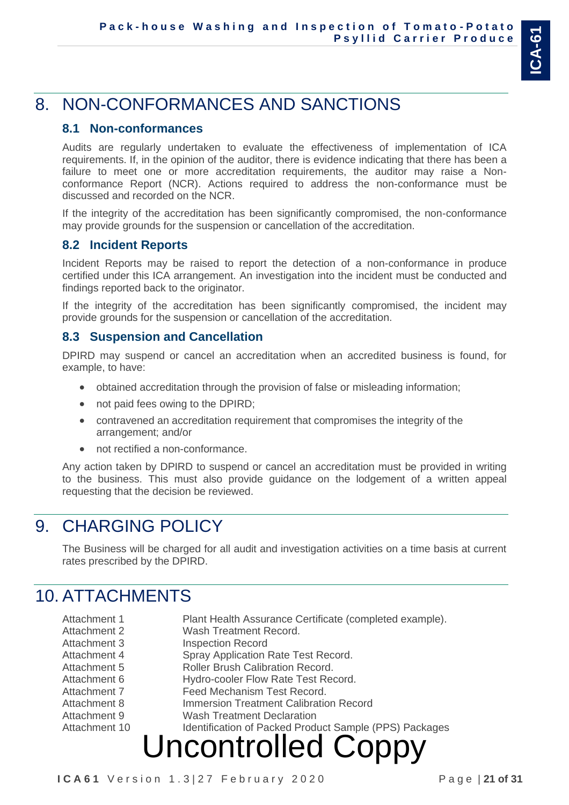# 8. NON-CONFORMANCES AND SANCTIONS

#### **8.1 Non-conformances**

Audits are regularly undertaken to evaluate the effectiveness of implementation of ICA requirements. If, in the opinion of the auditor, there is evidence indicating that there has been a failure to meet one or more accreditation requirements, the auditor may raise a Nonconformance Report (NCR). Actions required to address the non-conformance must be discussed and recorded on the NCR.

If the integrity of the accreditation has been significantly compromised, the non-conformance may provide grounds for the suspension or cancellation of the accreditation.

#### **8.2 Incident Reports**

Incident Reports may be raised to report the detection of a non-conformance in produce certified under this ICA arrangement. An investigation into the incident must be conducted and findings reported back to the originator.

If the integrity of the accreditation has been significantly compromised, the incident may provide grounds for the suspension or cancellation of the accreditation.

#### **8.3 Suspension and Cancellation**

DPIRD may suspend or cancel an accreditation when an accredited business is found, for example, to have:

- obtained accreditation through the provision of false or misleading information;
- not paid fees owing to the DPIRD;
- contravened an accreditation requirement that compromises the integrity of the arrangement; and/or
- not rectified a non-conformance.

Any action taken by DPIRD to suspend or cancel an accreditation must be provided in writing to the business. This must also provide guidance on the lodgement of a written appeal requesting that the decision be reviewed.

## 9. CHARGING POLICY

The Business will be charged for all audit and investigation activities on a time basis at current rates prescribed by the DPIRD.

### 10. ATTACHMENTS

| Attachment 1  | Plant Health Assurance Certificate (completed example). |
|---------------|---------------------------------------------------------|
| Attachment 2  | Wash Treatment Record.                                  |
| Attachment 3  | <b>Inspection Record</b>                                |
| Attachment 4  | Spray Application Rate Test Record.                     |
| Attachment 5  | <b>Roller Brush Calibration Record.</b>                 |
| Attachment 6  | Hydro-cooler Flow Rate Test Record.                     |
| Attachment 7  | Feed Mechanism Test Record.                             |
| Attachment 8  | <b>Immersion Treatment Calibration Record</b>           |
| Attachment 9  | <b>Wash Treatment Declaration</b>                       |
| Attachment 10 | Identification of Packed Product Sample (PPS) Packages  |
|               |                                                         |
|               | <b>Uncontrolled Coppy</b>                               |
|               |                                                         |

**I C A 6 1** V e r s i o n 1 . 3 | 2 7 F e b r u a r y 2 0 2 0 P a g e | **21 of 31**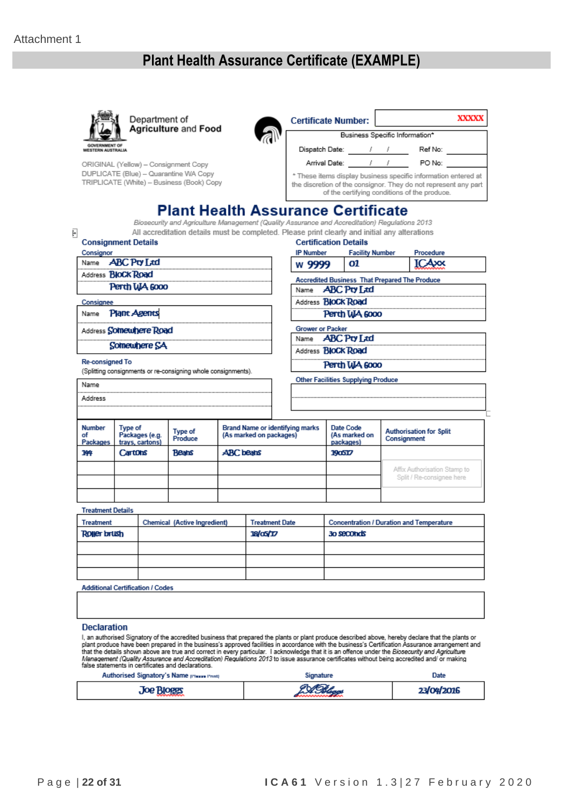### **Plant Health Assurance Certificate (EXAMPLE)**



Department of **Agriculture and Food** 



ORIGINAL (Yellow) - Consignment Copy DUPLICATE (Blue) - Quarantine WA Copy TRIPLICATE (White) - Business (Book) Copy

| <b>Certificate Number:</b>                                                                                                                                                        |        |  |                                | XXXXX |  |
|-----------------------------------------------------------------------------------------------------------------------------------------------------------------------------------|--------|--|--------------------------------|-------|--|
|                                                                                                                                                                                   |        |  | Business Specific Information* |       |  |
| Dispatch Date:                                                                                                                                                                    |        |  | Ref No:                        |       |  |
| Arrival Date:                                                                                                                                                                     | PO No: |  |                                |       |  |
| * These items display business specific information entered at<br>the discretion of the consignor. They do not represent any part<br>of the certifying conditions of the produce. |        |  |                                |       |  |

### **Plant Health Assurance Certificate**

Biosecurity and Agriculture Management (Quality Assurance and Accreditation) Regulations 2013 All accreditation details must be completed. Please print clearly and initial any alterations

| <b>Consignment Details</b>              |                     |                                   |                                                               |                  |                                                                   |                         | All accreditation details must be completed. Please print clearly and initial any alterations<br><b>Certification Details</b> |                        |                                                 |
|-----------------------------------------|---------------------|-----------------------------------|---------------------------------------------------------------|------------------|-------------------------------------------------------------------|-------------------------|-------------------------------------------------------------------------------------------------------------------------------|------------------------|-------------------------------------------------|
| Consignor                               |                     |                                   |                                                               |                  |                                                                   | <b>IP Number</b>        |                                                                                                                               | <b>Facility Number</b> | Procedure                                       |
| Name                                    | <b>ABC Pty Ltd</b>  |                                   |                                                               |                  |                                                                   | w 9999                  | 01                                                                                                                            |                        | TCAxx                                           |
| Address <b>BIOCK Road</b>               |                     |                                   |                                                               |                  |                                                                   |                         |                                                                                                                               |                        |                                                 |
|                                         |                     | Perth WA 6000                     |                                                               |                  |                                                                   |                         | <b>Accredited Business That Prepared The Produce</b><br>Name <b>ABC Pty Ltd</b>                                               |                        |                                                 |
|                                         |                     |                                   |                                                               |                  |                                                                   |                         |                                                                                                                               |                        |                                                 |
| Consignee                               |                     |                                   |                                                               |                  |                                                                   |                         | Address <b>BIOCK Road</b>                                                                                                     |                        |                                                 |
| Name                                    | <b>Plant Agents</b> |                                   |                                                               |                  |                                                                   |                         | Perth WA 6000                                                                                                                 |                        |                                                 |
| Address <b>Somewhere Road</b>           |                     |                                   |                                                               |                  |                                                                   | <b>Grower or Packer</b> |                                                                                                                               |                        |                                                 |
|                                         |                     | Somewhere SA                      |                                                               |                  |                                                                   |                         | Name ABC Pty Ltd                                                                                                              |                        |                                                 |
|                                         |                     |                                   |                                                               |                  |                                                                   |                         | Address <b>BIOCK Road</b>                                                                                                     |                        |                                                 |
| <b>Re-consigned To</b>                  |                     |                                   |                                                               |                  |                                                                   |                         | Perth WA 6000                                                                                                                 |                        |                                                 |
|                                         |                     |                                   | (Splitting consignments or re-consigning whole consignments). |                  |                                                                   |                         | <b>Other Facilities Supplying Produce</b>                                                                                     |                        |                                                 |
| Name                                    |                     |                                   |                                                               |                  |                                                                   |                         |                                                                                                                               |                        |                                                 |
| Address                                 |                     |                                   |                                                               |                  |                                                                   |                         |                                                                                                                               |                        |                                                 |
|                                         |                     |                                   |                                                               |                  |                                                                   |                         |                                                                                                                               |                        |                                                 |
| <b>Number</b><br>οf<br>Packages         | <b>Type of</b>      | Packages (e.g.<br>trays, cartons) | <b>Type of</b><br>Produce                                     |                  | <b>Brand Name or identifying marks</b><br>(As marked on packages) |                         | Date Code<br>(As marked on<br>packages)                                                                                       | Consignment            | <b>Authorisation for Split</b>                  |
| 144                                     | Cartons             |                                   | <b>Beans</b>                                                  | <b>ABC</b> beans |                                                                   |                         | 190517                                                                                                                        |                        |                                                 |
|                                         |                     |                                   |                                                               |                  |                                                                   |                         |                                                                                                                               |                        | Affix Authorisation Stamp to                    |
|                                         |                     |                                   |                                                               |                  |                                                                   |                         |                                                                                                                               |                        | Split / Re-consignee here                       |
|                                         |                     |                                   |                                                               |                  |                                                                   |                         |                                                                                                                               |                        |                                                 |
| <b>Treatment Details</b>                |                     |                                   |                                                               |                  |                                                                   |                         |                                                                                                                               |                        |                                                 |
| <b>Treatment</b>                        |                     |                                   | Chemical (Active Ingredient)                                  |                  | <b>Treatment Date</b>                                             |                         |                                                                                                                               |                        | <b>Concentration / Duration and Temperature</b> |
| <b>Rotter brush</b>                     |                     |                                   |                                                               |                  | 18/a5/17                                                          |                         | 30 seconds                                                                                                                    |                        |                                                 |
|                                         |                     |                                   |                                                               |                  |                                                                   |                         |                                                                                                                               |                        |                                                 |
|                                         |                     |                                   |                                                               |                  |                                                                   |                         |                                                                                                                               |                        |                                                 |
|                                         |                     |                                   |                                                               |                  |                                                                   |                         |                                                                                                                               |                        |                                                 |
|                                         |                     |                                   |                                                               |                  |                                                                   |                         |                                                                                                                               |                        |                                                 |
| <b>Additional Certification / Codes</b> |                     |                                   |                                                               |                  |                                                                   |                         |                                                                                                                               |                        |                                                 |
|                                         |                     |                                   |                                                               |                  |                                                                   |                         |                                                                                                                               |                        |                                                 |
|                                         |                     |                                   |                                                               |                  |                                                                   |                         |                                                                                                                               |                        |                                                 |
|                                         |                     |                                   |                                                               |                  |                                                                   |                         |                                                                                                                               |                        |                                                 |
| <b>Declaration</b>                      |                     |                                   |                                                               |                  |                                                                   |                         |                                                                                                                               |                        |                                                 |

plant produce have been prepared in the business's approved facilities in accordance with the business's Certification Assurance arrangement<br>that the details shown above are true and correct in every particular. I acknowle n Assurance arrangement and

| Authorised Signatory's Name pressenting | ignature | Date       |
|-----------------------------------------|----------|------------|
| <b>Joe Bloees</b>                       |          | 23/04/2016 |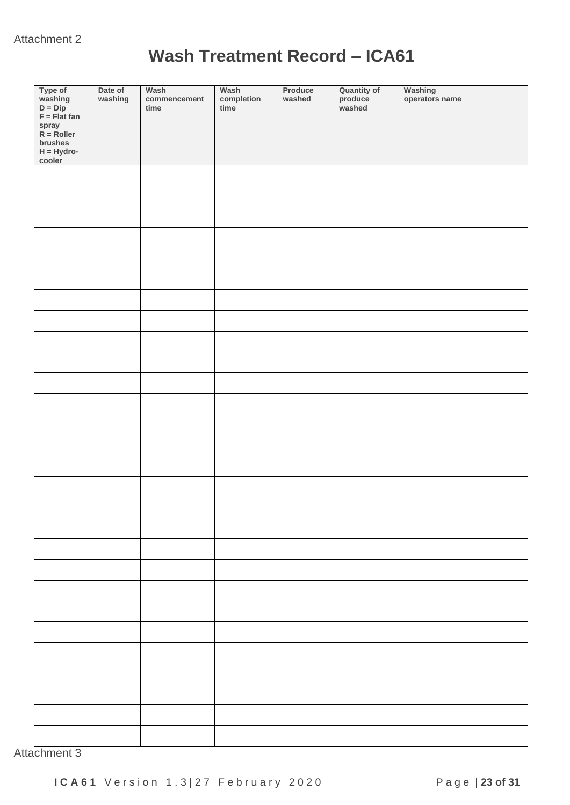## **Wash Treatment Record – ICA61**

| Type of<br>washing<br>D = Dip<br>F = Flat fan<br>spray<br>R = Roller<br>brushes<br>H = Hydro-<br>cooler | Date of<br>washing | Wash<br>commencement<br>time | Wash<br>completion<br>time | Produce<br>washed | Quantity of<br>produce<br>washed | Washing<br>operators name |
|---------------------------------------------------------------------------------------------------------|--------------------|------------------------------|----------------------------|-------------------|----------------------------------|---------------------------|
|                                                                                                         |                    |                              |                            |                   |                                  |                           |
|                                                                                                         |                    |                              |                            |                   |                                  |                           |
|                                                                                                         |                    |                              |                            |                   |                                  |                           |
|                                                                                                         |                    |                              |                            |                   |                                  |                           |
|                                                                                                         |                    |                              |                            |                   |                                  |                           |
|                                                                                                         |                    |                              |                            |                   |                                  |                           |
|                                                                                                         |                    |                              |                            |                   |                                  |                           |
|                                                                                                         |                    |                              |                            |                   |                                  |                           |
|                                                                                                         |                    |                              |                            |                   |                                  |                           |
|                                                                                                         |                    |                              |                            |                   |                                  |                           |
|                                                                                                         |                    |                              |                            |                   |                                  |                           |
|                                                                                                         |                    |                              |                            |                   |                                  |                           |
|                                                                                                         |                    |                              |                            |                   |                                  |                           |
|                                                                                                         |                    |                              |                            |                   |                                  |                           |
|                                                                                                         |                    |                              |                            |                   |                                  |                           |
|                                                                                                         |                    |                              |                            |                   |                                  |                           |
|                                                                                                         |                    |                              |                            |                   |                                  |                           |
|                                                                                                         |                    |                              |                            |                   |                                  |                           |
|                                                                                                         |                    |                              |                            |                   |                                  |                           |
|                                                                                                         |                    |                              |                            |                   |                                  |                           |
|                                                                                                         |                    |                              |                            |                   |                                  |                           |
|                                                                                                         |                    |                              |                            |                   |                                  |                           |
|                                                                                                         |                    |                              |                            |                   |                                  |                           |
|                                                                                                         |                    |                              |                            |                   |                                  |                           |
|                                                                                                         |                    |                              |                            |                   |                                  |                           |
|                                                                                                         |                    |                              |                            |                   |                                  |                           |
|                                                                                                         |                    |                              |                            |                   |                                  |                           |
|                                                                                                         |                    |                              |                            |                   |                                  |                           |

Attachment 3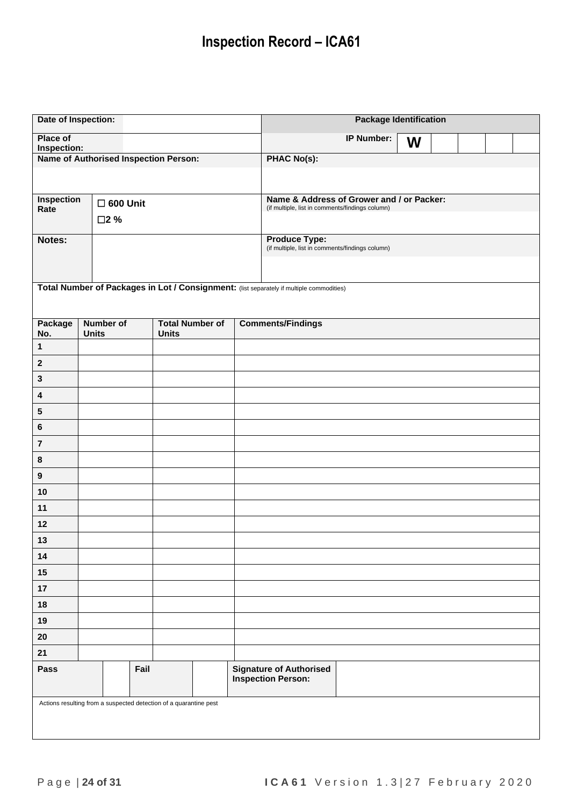# **Inspection Record – ICA61**

| Date of Inspection:       |                                                                   |                                        | <b>Package Identification</b>                                                                |  |  |  |  |
|---------------------------|-------------------------------------------------------------------|----------------------------------------|----------------------------------------------------------------------------------------------|--|--|--|--|
| Place of<br>Inspection:   |                                                                   |                                        | <b>IP Number:</b><br>W                                                                       |  |  |  |  |
|                           | Name of Authorised Inspection Person:                             |                                        | <b>PHAC No(s):</b>                                                                           |  |  |  |  |
|                           |                                                                   |                                        |                                                                                              |  |  |  |  |
| <b>Inspection</b><br>Rate | $\square$ 600 Unit<br>□2 %                                        |                                        | Name & Address of Grower and / or Packer:<br>(if multiple, list in comments/findings column) |  |  |  |  |
| Notes:                    |                                                                   |                                        | <b>Produce Type:</b>                                                                         |  |  |  |  |
|                           |                                                                   |                                        | (if multiple, list in comments/findings column)                                              |  |  |  |  |
|                           |                                                                   |                                        |                                                                                              |  |  |  |  |
|                           |                                                                   |                                        | Total Number of Packages in Lot / Consignment: (list separately if multiple commodities)     |  |  |  |  |
| Package<br>No.            | <b>Number of</b><br><b>Units</b>                                  | <b>Total Number of</b><br><b>Units</b> | <b>Comments/Findings</b>                                                                     |  |  |  |  |
| $\mathbf{1}$              |                                                                   |                                        |                                                                                              |  |  |  |  |
| $\boldsymbol{2}$          |                                                                   |                                        |                                                                                              |  |  |  |  |
| $\mathbf 3$               |                                                                   |                                        |                                                                                              |  |  |  |  |
| 4                         |                                                                   |                                        |                                                                                              |  |  |  |  |
| ${\bf 5}$                 |                                                                   |                                        |                                                                                              |  |  |  |  |
| $\bf 6$                   |                                                                   |                                        |                                                                                              |  |  |  |  |
| $\bf 7$                   |                                                                   |                                        |                                                                                              |  |  |  |  |
| $\bf 8$                   |                                                                   |                                        |                                                                                              |  |  |  |  |
| $\boldsymbol{9}$          |                                                                   |                                        |                                                                                              |  |  |  |  |
| $10$                      |                                                                   |                                        |                                                                                              |  |  |  |  |
| 11                        |                                                                   |                                        |                                                                                              |  |  |  |  |
| 12                        |                                                                   |                                        |                                                                                              |  |  |  |  |
| 13                        |                                                                   |                                        |                                                                                              |  |  |  |  |
| 14                        |                                                                   |                                        |                                                                                              |  |  |  |  |
| $15$                      |                                                                   |                                        |                                                                                              |  |  |  |  |
| 17                        |                                                                   |                                        |                                                                                              |  |  |  |  |
| 18                        |                                                                   |                                        |                                                                                              |  |  |  |  |
| 19                        |                                                                   |                                        |                                                                                              |  |  |  |  |
| ${\bf 20}$                |                                                                   |                                        |                                                                                              |  |  |  |  |
| 21<br>Pass                | Fail                                                              |                                        | <b>Signature of Authorised</b>                                                               |  |  |  |  |
|                           |                                                                   |                                        | <b>Inspection Person:</b>                                                                    |  |  |  |  |
|                           | Actions resulting from a suspected detection of a quarantine pest |                                        |                                                                                              |  |  |  |  |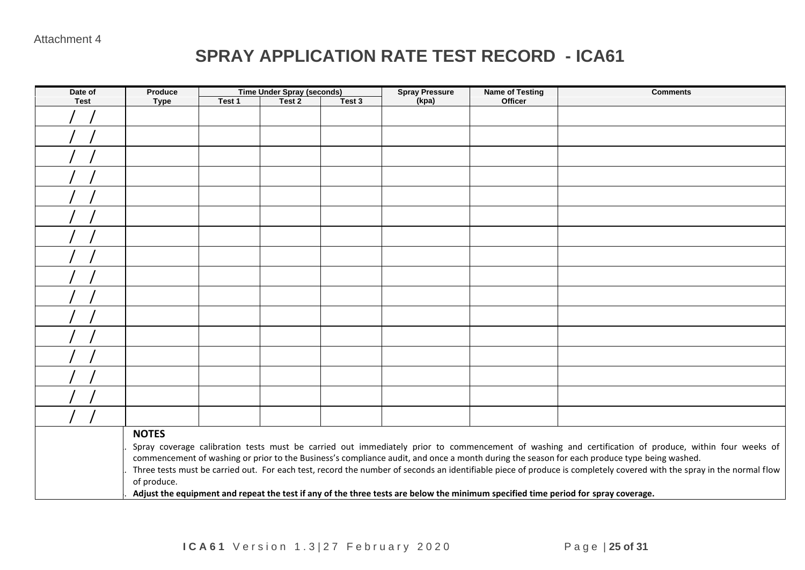### **SPRAY APPLICATION RATE TEST RECORD - ICA61**

| Date of     | Produce                                                                                                                                              |        | <b>Time Under Spray (seconds)</b> |        | <b>Spray Pressure</b> | <b>Name of Testing</b> | <b>Comments</b>                                                                                                                                                       |  |
|-------------|------------------------------------------------------------------------------------------------------------------------------------------------------|--------|-----------------------------------|--------|-----------------------|------------------------|-----------------------------------------------------------------------------------------------------------------------------------------------------------------------|--|
| <b>Test</b> | <b>Type</b>                                                                                                                                          | Test 1 | Test 2                            | Test 3 | (kpa)                 | Officer                |                                                                                                                                                                       |  |
|             |                                                                                                                                                      |        |                                   |        |                       |                        |                                                                                                                                                                       |  |
|             |                                                                                                                                                      |        |                                   |        |                       |                        |                                                                                                                                                                       |  |
|             |                                                                                                                                                      |        |                                   |        |                       |                        |                                                                                                                                                                       |  |
|             |                                                                                                                                                      |        |                                   |        |                       |                        |                                                                                                                                                                       |  |
|             |                                                                                                                                                      |        |                                   |        |                       |                        |                                                                                                                                                                       |  |
|             |                                                                                                                                                      |        |                                   |        |                       |                        |                                                                                                                                                                       |  |
|             |                                                                                                                                                      |        |                                   |        |                       |                        |                                                                                                                                                                       |  |
|             |                                                                                                                                                      |        |                                   |        |                       |                        |                                                                                                                                                                       |  |
|             |                                                                                                                                                      |        |                                   |        |                       |                        |                                                                                                                                                                       |  |
|             |                                                                                                                                                      |        |                                   |        |                       |                        |                                                                                                                                                                       |  |
|             |                                                                                                                                                      |        |                                   |        |                       |                        |                                                                                                                                                                       |  |
|             |                                                                                                                                                      |        |                                   |        |                       |                        |                                                                                                                                                                       |  |
|             |                                                                                                                                                      |        |                                   |        |                       |                        |                                                                                                                                                                       |  |
|             |                                                                                                                                                      |        |                                   |        |                       |                        |                                                                                                                                                                       |  |
|             |                                                                                                                                                      |        |                                   |        |                       |                        |                                                                                                                                                                       |  |
|             |                                                                                                                                                      |        |                                   |        |                       |                        |                                                                                                                                                                       |  |
|             | <b>NOTES</b>                                                                                                                                         |        |                                   |        |                       |                        |                                                                                                                                                                       |  |
|             | Spray coverage calibration tests must be carried out immediately prior to commencement of washing and certification of produce, within four weeks of |        |                                   |        |                       |                        |                                                                                                                                                                       |  |
|             |                                                                                                                                                      |        |                                   |        |                       |                        | commencement of washing or prior to the Business's compliance audit, and once a month during the season for each produce type being washed.                           |  |
|             |                                                                                                                                                      |        |                                   |        |                       |                        | Three tests must be carried out. For each test, record the number of seconds an identifiable piece of produce is completely covered with the spray in the normal flow |  |
|             | of produce.                                                                                                                                          |        |                                   |        |                       |                        |                                                                                                                                                                       |  |
|             |                                                                                                                                                      |        |                                   |        |                       |                        | Adjust the equipment and repeat the test if any of the three tests are below the minimum specified time period for spray coverage.                                    |  |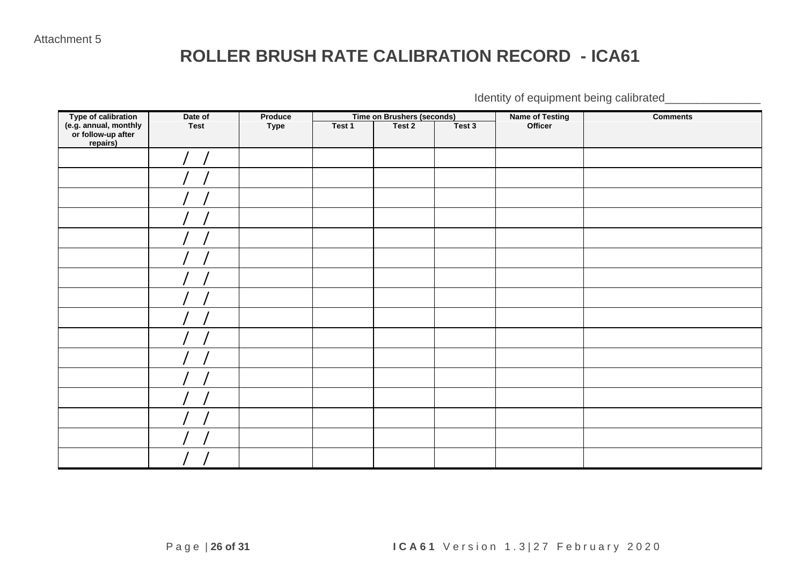### **ROLLER BRUSH RATE CALIBRATION RECORD - ICA61**

Identity of equipment being calibrated\_\_\_\_\_\_\_\_\_\_\_\_\_\_\_

|                                                                                | Date of     | Produce |        | <b>Time on Brushers (seconds)</b> |        | <b>Name of Testing</b> | <b>Comments</b> |
|--------------------------------------------------------------------------------|-------------|---------|--------|-----------------------------------|--------|------------------------|-----------------|
| Type of calibration<br>(e.g. annual, monthly<br>or follow-up after<br>repairs) | <b>Test</b> | Type    | Test 1 | Test 2                            | Test 3 | Officer                |                 |
|                                                                                |             |         |        |                                   |        |                        |                 |
|                                                                                |             |         |        |                                   |        |                        |                 |
|                                                                                |             |         |        |                                   |        |                        |                 |
|                                                                                |             |         |        |                                   |        |                        |                 |
|                                                                                |             |         |        |                                   |        |                        |                 |
|                                                                                |             |         |        |                                   |        |                        |                 |
|                                                                                |             |         |        |                                   |        |                        |                 |
|                                                                                |             |         |        |                                   |        |                        |                 |
|                                                                                |             |         |        |                                   |        |                        |                 |
|                                                                                |             |         |        |                                   |        |                        |                 |
|                                                                                |             |         |        |                                   |        |                        |                 |
|                                                                                |             |         |        |                                   |        |                        |                 |
|                                                                                |             |         |        |                                   |        |                        |                 |
|                                                                                |             |         |        |                                   |        |                        |                 |
|                                                                                |             |         |        |                                   |        |                        |                 |
|                                                                                |             |         |        |                                   |        |                        |                 |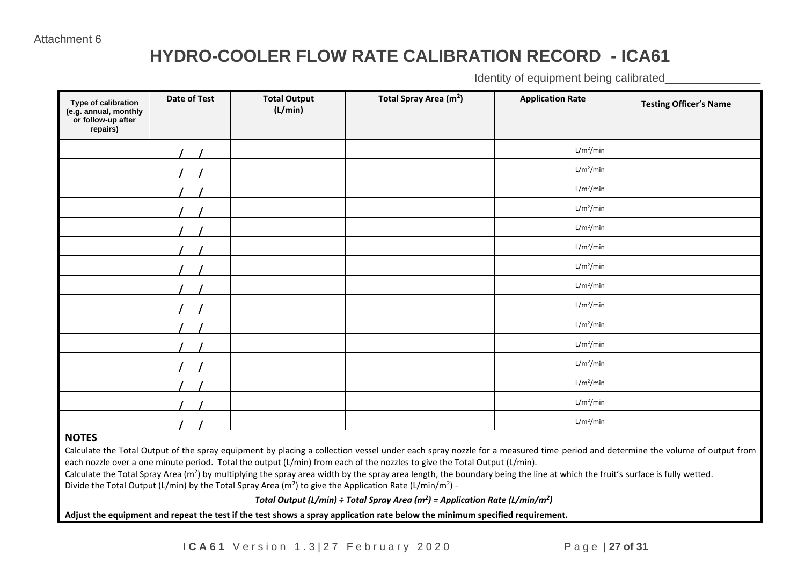## **HYDRO-COOLER FLOW RATE CALIBRATION RECORD - ICA61**

Identity of equipment being calibrated

| Type of calibration<br>(e.g. annual, monthly<br>or follow-up after<br>repairs) | Date of Test | <b>Total Output</b><br>(L/min) | Total Spray Area (m <sup>2</sup> ) | <b>Application Rate</b> | <b>Testing Officer's Name</b> |
|--------------------------------------------------------------------------------|--------------|--------------------------------|------------------------------------|-------------------------|-------------------------------|
|                                                                                |              |                                |                                    | $L/m^2/m$ in            |                               |
|                                                                                |              |                                |                                    | L/m <sup>2</sup> /min   |                               |
|                                                                                |              |                                |                                    | L/m <sup>2</sup> /min   |                               |
|                                                                                |              |                                |                                    | L/m <sup>2</sup> /min   |                               |
|                                                                                |              |                                |                                    | $L/m^2/m$ in            |                               |
|                                                                                |              |                                |                                    | L/m <sup>2</sup> /min   |                               |
|                                                                                |              |                                |                                    | $L/m^2/m$ in            |                               |
|                                                                                |              |                                |                                    | $L/m^2/m$ in            |                               |
|                                                                                |              |                                |                                    | $L/m^2/m$ in            |                               |
|                                                                                |              |                                |                                    | L/m <sup>2</sup> /min   |                               |
|                                                                                |              |                                |                                    | L/m <sup>2</sup> /min   |                               |
|                                                                                |              |                                |                                    | $L/m^2/m$ in            |                               |
|                                                                                |              |                                |                                    | L/m <sup>2</sup> /min   |                               |
|                                                                                |              |                                |                                    | L/m <sup>2</sup> /min   |                               |
|                                                                                |              |                                |                                    | L/m <sup>2</sup> /min   |                               |

#### **NOTES**

Calculate the Total Output of the spray equipment by placing a collection vessel under each spray nozzle for a measured time period and determine the volume of output from each nozzle over a one minute period. Total the output (L/min) from each of the nozzles to give the Total Output (L/min).

Calculate the Total Spray Area (m<sup>2</sup>) by multiplying the spray area width by the spray area length, the boundary being the line at which the fruit's surface is fully wetted. Divide the Total Output (L/min) by the Total Spray Area (m<sup>2</sup>) to give the Application Rate (L/min/m<sup>2</sup>) -

*Total Output (L/min) ÷ Total Spray Area (m<sup>2</sup> ) = Application Rate (L/min/m<sup>2</sup> )*

4. **Adjust the equipment and repeat the test if the test shows a spray application rate below the minimum specified requirement.**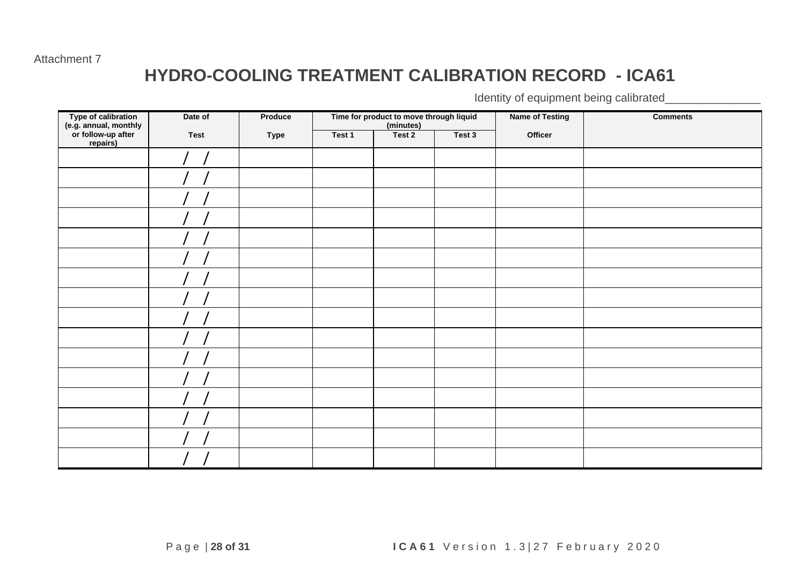#### Attachment 7

### **HYDRO-COOLING TREATMENT CALIBRATION RECORD - ICA61**

Identity of equipment being calibrated\_

| Type of calibration<br>(e.g. annual, monthly<br>or follow-up after<br>repairs) | Date of     | Produce     |        | Time for product to move through liquid<br>(minutes) |        | <b>Name of Testing</b> | <b>Comments</b> |
|--------------------------------------------------------------------------------|-------------|-------------|--------|------------------------------------------------------|--------|------------------------|-----------------|
|                                                                                | <b>Test</b> | <b>Type</b> | Test 1 | Test 2                                               | Test 3 | Officer                |                 |
|                                                                                |             |             |        |                                                      |        |                        |                 |
|                                                                                |             |             |        |                                                      |        |                        |                 |
|                                                                                |             |             |        |                                                      |        |                        |                 |
|                                                                                |             |             |        |                                                      |        |                        |                 |
|                                                                                |             |             |        |                                                      |        |                        |                 |
|                                                                                |             |             |        |                                                      |        |                        |                 |
|                                                                                |             |             |        |                                                      |        |                        |                 |
|                                                                                |             |             |        |                                                      |        |                        |                 |
|                                                                                |             |             |        |                                                      |        |                        |                 |
|                                                                                |             |             |        |                                                      |        |                        |                 |
|                                                                                |             |             |        |                                                      |        |                        |                 |
|                                                                                |             |             |        |                                                      |        |                        |                 |
|                                                                                |             |             |        |                                                      |        |                        |                 |
|                                                                                |             |             |        |                                                      |        |                        |                 |
|                                                                                |             |             |        |                                                      |        |                        |                 |
|                                                                                |             |             |        |                                                      |        |                        |                 |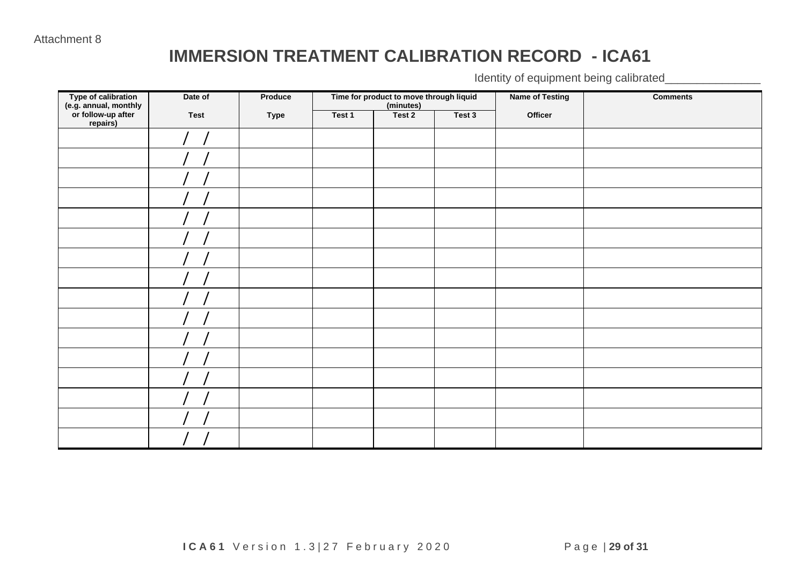### **IMMERSION TREATMENT CALIBRATION RECORD - ICA61**

Identity of equipment being calibrated\_\_\_\_\_\_\_\_\_\_\_\_\_\_\_

| Type of calibration<br>(e.g. annual, monthly<br>or follow-up after<br>repairs) | Date of     | Produce |        | Time for product to move through liquid<br>(minutes) |        | <b>Name of Testing</b> | <b>Comments</b> |
|--------------------------------------------------------------------------------|-------------|---------|--------|------------------------------------------------------|--------|------------------------|-----------------|
|                                                                                | <b>Test</b> | Type    | Test 1 | Test 2                                               | Test 3 | Officer                |                 |
|                                                                                |             |         |        |                                                      |        |                        |                 |
|                                                                                |             |         |        |                                                      |        |                        |                 |
|                                                                                |             |         |        |                                                      |        |                        |                 |
|                                                                                |             |         |        |                                                      |        |                        |                 |
|                                                                                |             |         |        |                                                      |        |                        |                 |
|                                                                                |             |         |        |                                                      |        |                        |                 |
|                                                                                |             |         |        |                                                      |        |                        |                 |
|                                                                                |             |         |        |                                                      |        |                        |                 |
|                                                                                |             |         |        |                                                      |        |                        |                 |
|                                                                                |             |         |        |                                                      |        |                        |                 |
|                                                                                |             |         |        |                                                      |        |                        |                 |
|                                                                                |             |         |        |                                                      |        |                        |                 |
|                                                                                |             |         |        |                                                      |        |                        |                 |
|                                                                                |             |         |        |                                                      |        |                        |                 |
|                                                                                |             |         |        |                                                      |        |                        |                 |
|                                                                                |             |         |        |                                                      |        |                        |                 |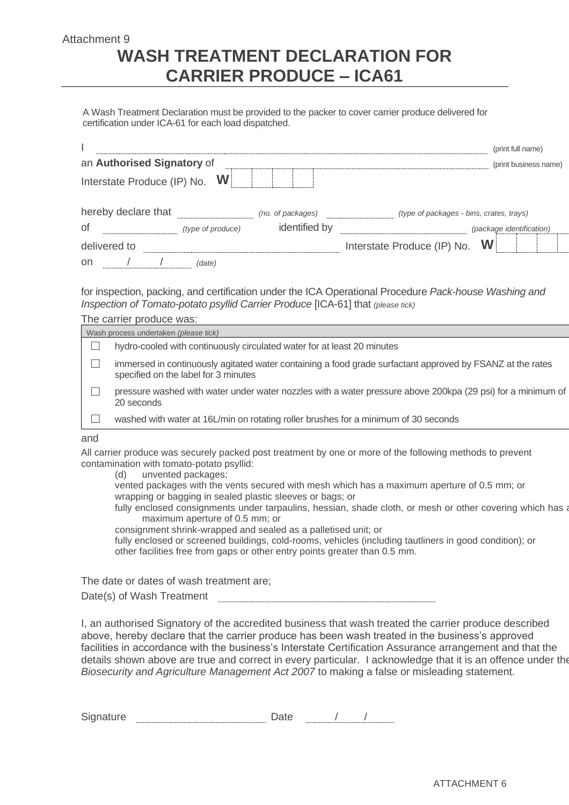#### Attachment 9 **WASH TREATMENT DECLARATION FOR CARRIER PRODUCE – ICA61**

A Wash Treatment Declaration must be provided to the packer to cover carrier produce delivered for certification under ICA-61 for each load dispatched.

|                               |                   |                   | (print full name)                        |
|-------------------------------|-------------------|-------------------|------------------------------------------|
| an Authorised Signatory of    |                   |                   | (print business name)                    |
| Interstate Produce (IP) No. W |                   |                   |                                          |
| hereby declare that           |                   | (no. of packages) | (type of packages - bins, crates, trays) |
| 0f                            | (type of produce) | identified by     | (package identification)                 |
| delivered to                  |                   |                   | W<br>Interstate Produce (IP) No.         |
| <sub>on</sub>                 | (date)            |                   |                                          |

for inspection, packing, and certification under the ICA Operational Procedure *Pack-house Washing and Inspection of Tomato-potato psyllid Carrier Produce* [ICA-61] that *(please tick)*

The carrier produce was:

| Wash process undertaken (please tick) |                                                                                                                                                   |  |  |  |
|---------------------------------------|---------------------------------------------------------------------------------------------------------------------------------------------------|--|--|--|
|                                       | hydro-cooled with continuously circulated water for at least 20 minutes                                                                           |  |  |  |
|                                       | immersed in continuously agitated water containing a food grade surfactant approved by FSANZ at the rates<br>specified on the label for 3 minutes |  |  |  |
|                                       | pressure washed with water under water nozzles with a water pressure above 200kpa (29 psi) for a minimum of<br>20 seconds                         |  |  |  |
|                                       | washed with water at 16L/min on rotating roller brushes for a minimum of 30 seconds                                                               |  |  |  |
|                                       |                                                                                                                                                   |  |  |  |

#### and

All carrier produce was securely packed post treatment by one or more of the following methods to prevent contamination with tomato-potato psyllid:

(d) unvented packages;

vented packages with the vents secured with mesh which has a maximum aperture of 0.5 mm; or wrapping or bagging in sealed plastic sleeves or bags; or

fully enclosed consignments under tarpaulins, hessian, shade cloth, or mesh or other covering which has a maximum aperture of 0.5 mm; or

consignment shrink-wrapped and sealed as a palletised unit; or

fully enclosed or screened buildings, cold-rooms, vehicles (including tautliners in good condition); or other facilities free from gaps or other entry points greater than 0.5 mm.

The date or dates of wash treatment are;

I, an authorised Signatory of the accredited business that wash treated the carrier produce described above, hereby declare that the carrier produce has been wash treated in the business's approved facilities in accordance with the business's Interstate Certification Assurance arrangement and that the details shown above are true and correct in every particular. I acknowledge that it is an offence under the *Biosecurity and Agriculture Management Act 2007* to making a false or misleading statement.

| $\tilde{\phantom{a}}$<br>. .<br>- |  |  |
|-----------------------------------|--|--|
|                                   |  |  |